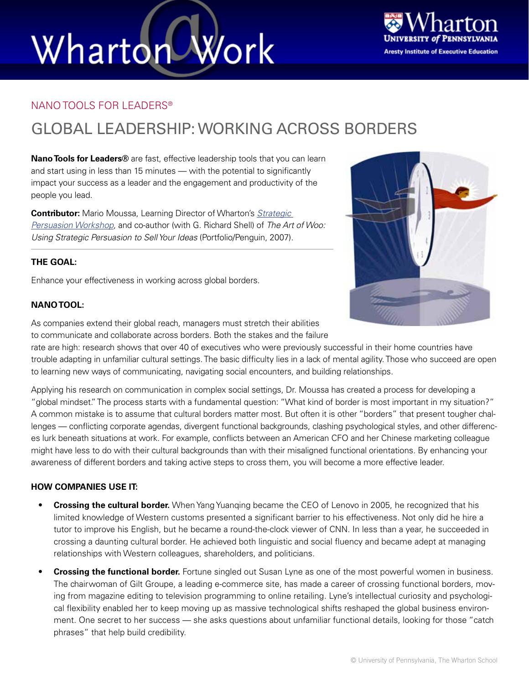# Wharton Work



### NANO TOOLS FOR LEADERS®

### GLOBAL LEADERSHIP: WORKING ACROSS BORDERS

**Nano Tools for Leaders®** are fast, effective leadership tools that you can learn and start using in less than 15 minutes — with the potential to significantly impact your success as a leader and the engagement and productivity of the people you lead.

**Contributor:** Mario Moussa, Learning Director of Wharton's *[Strategic](http://executiveeducation.wharton.upenn.edu/open-enrollment/negotiation-persuasion-programs/strategic-persuasion-worksho.cfm)  [Persuasion Workshop](http://executiveeducation.wharton.upenn.edu/open-enrollment/negotiation-persuasion-programs/strategic-persuasion-worksho.cfm)*, and co-author (with G. Richard Shell) of *The Art of Woo: Using Strategic Persuasion to Sell Your Ideas* (Portfolio/Penguin, 2007).

### **THE GOAL:**

Enhance your effectiveness in working across global borders.

### **NANO TOOL:**

As companies extend their global reach, managers must stretch their abilities to communicate and collaborate across borders. Both the stakes and the failure

rate are high: research shows that over 40 of executives who were previously successful in their home countries have trouble adapting in unfamiliar cultural settings. The basic difficulty lies in a lack of mental agility. Those who succeed are open to learning new ways of communicating, navigating social encounters, and building relationships.

Applying his research on communication in complex social settings, Dr. Moussa has created a process for developing a "global mindset." The process starts with a fundamental question: "What kind of border is most important in my situation?" A common mistake is to assume that cultural borders matter most. But often it is other "borders" that present tougher challenges — conflicting corporate agendas, divergent functional backgrounds, clashing psychological styles, and other differences lurk beneath situations at work. For example, conflicts between an American CFO and her Chinese marketing colleague might have less to do with their cultural backgrounds than with their misaligned functional orientations. By enhancing your awareness of different borders and taking active steps to cross them, you will become a more effective leader.

### **HOW COMPANIES USE IT:**

- **Crossing the cultural border.** When Yang Yuanqing became the CEO of Lenovo in 2005, he recognized that his limited knowledge of Western customs presented a significant barrier to his effectiveness. Not only did he hire a tutor to improve his English, but he became a round-the-clock viewer of CNN. In less than a year, he succeeded in crossing a daunting cultural border. He achieved both linguistic and social fluency and became adept at managing relationships with Western colleagues, shareholders, and politicians.
- **Crossing the functional border.** Fortune singled out Susan Lyne as one of the most powerful women in business. The chairwoman of Gilt Groupe, a leading e-commerce site, has made a career of crossing functional borders, moving from magazine editing to television programming to online retailing. Lyne's intellectual curiosity and psychological flexibility enabled her to keep moving up as massive technological shifts reshaped the global business environment. One secret to her success — she asks questions about unfamiliar functional details, looking for those "catch phrases" that help build credibility.

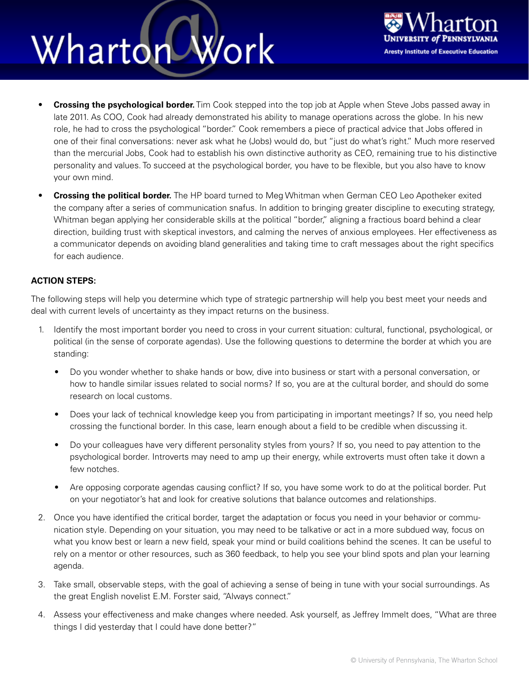### Work Wharton



- **Crossing the psychological border.** Tim Cook stepped into the top job at Apple when Steve Jobs passed away in late 2011. As COO, Cook had already demonstrated his ability to manage operations across the globe. In his new role, he had to cross the psychological "border." Cook remembers a piece of practical advice that Jobs offered in one of their final conversations: never ask what he (Jobs) would do, but "just do what's right." Much more reserved than the mercurial Jobs, Cook had to establish his own distinctive authority as CEO, remaining true to his distinctive personality and values. To succeed at the psychological border, you have to be flexible, but you also have to know your own mind.
- **Crossing the political border.** The HP board turned to Meg Whitman when German CEO Leo Apotheker exited the company after a series of communication snafus. In addition to bringing greater discipline to executing strategy, Whitman began applying her considerable skills at the political "border," aligning a fractious board behind a clear direction, building trust with skeptical investors, and calming the nerves of anxious employees. Her effectiveness as a communicator depends on avoiding bland generalities and taking time to craft messages about the right specifics for each audience.

### **ACTION STEPS:**

The following steps will help you determine which type of strategic partnership will help you best meet your needs and deal with current levels of uncertainty as they impact returns on the business.

- 1. Identify the most important border you need to cross in your current situation: cultural, functional, psychological, or political (in the sense of corporate agendas). Use the following questions to determine the border at which you are standing:
	- Do you wonder whether to shake hands or bow, dive into business or start with a personal conversation, or how to handle similar issues related to social norms? If so, you are at the cultural border, and should do some research on local customs.
	- Does your lack of technical knowledge keep you from participating in important meetings? If so, you need help crossing the functional border. In this case, learn enough about a field to be credible when discussing it.
	- Do your colleagues have very different personality styles from yours? If so, you need to pay attention to the psychological border. Introverts may need to amp up their energy, while extroverts must often take it down a few notches.
	- Are opposing corporate agendas causing conflict? If so, you have some work to do at the political border. Put on your negotiator's hat and look for creative solutions that balance outcomes and relationships.
- 2. Once you have identified the critical border, target the adaptation or focus you need in your behavior or communication style. Depending on your situation, you may need to be talkative or act in a more subdued way, focus on what you know best or learn a new field, speak your mind or build coalitions behind the scenes. It can be useful to rely on a mentor or other resources, such as 360 feedback, to help you see your blind spots and plan your learning agenda.
- 3. Take small, observable steps, with the goal of achieving a sense of being in tune with your social surroundings. As the great English novelist E.M. Forster said, "Always connect."
- 4. Assess your effectiveness and make changes where needed. Ask yourself, as Jeffrey Immelt does, "What are three things I did yesterday that I could have done better?"